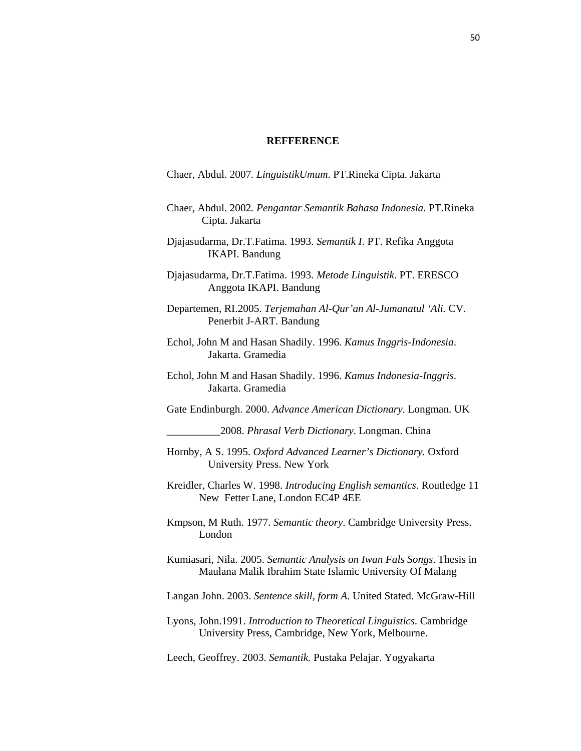## **REFFERENCE**

Chaer, Abdul. 2007*. LinguistikUmum*. PT.Rineka Cipta. Jakarta

- Chaer, Abdul. 2002*. Pengantar Semantik Bahasa Indonesia*. PT.Rineka Cipta. Jakarta
- Djajasudarma, Dr.T.Fatima. 1993. *Semantik I*. PT. Refika Anggota IKAPI. Bandung
- Djajasudarma, Dr.T.Fatima. 1993. *Metode Linguistik*. PT. ERESCO Anggota IKAPI. Bandung
- Departemen, RI.2005. *Terjemahan Al-Qur'an Al-Jumanatul 'Ali.* CV. Penerbit J-ART. Bandung
- Echol, John M and Hasan Shadily. 1996*. Kamus Inggris-Indonesia*. Jakarta. Gramedia
- Echol, John M and Hasan Shadily. 1996. *Kamus Indonesia-Inggris*. Jakarta. Gramedia
- Gate Endinburgh. 2000. *Advance American Dictionary*. Longman. UK

\_\_\_\_\_\_\_\_\_\_2008. *Phrasal Verb Dictionary*. Longman. China

- Hornby, A S. 1995. *Oxford Advanced Learner's Dictionary.* Oxford University Press. New York
- Kreidler, Charles W. 1998. *Introducing English semantics*. Routledge 11 New Fetter Lane, London EC4P 4EE
- Kmpson, M Ruth. 1977. *Semantic theory*. Cambridge University Press. London
- Kumiasari, Nila. 2005. *Semantic Analysis on Iwan Fals Songs*. Thesis in Maulana Malik Ibrahim State Islamic University Of Malang
- Langan John. 2003. *Sentence skill, form A.* United Stated. McGraw-Hill
- Lyons, John.1991. *Introduction to Theoretical Linguistics.* Cambridge University Press, Cambridge, New York, Melbourne.

Leech, Geoffrey. 2003. *Semantik.* Pustaka Pelajar. Yogyakarta